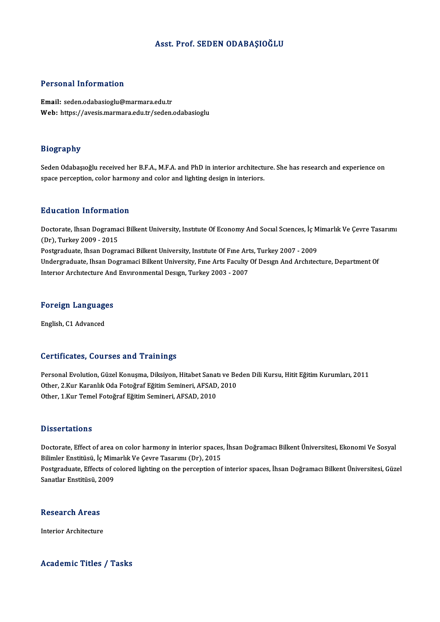### Asst. Prof. SEDEN ODABAŞIOĞLU

### Personal Information

Email: seden.odabasioglu@marmara.edu.tr Web: https://avesis.marmara.edu.tr/seden.odabasioglu

### Biography

Bi<mark>ography</mark><br>Seden Odabaşıoğlu received her B.F.A., M.F.A. and PhD in interior architecture. She has research and experience on<br>spase persention, seler bermony and seler and lighting design in interiers. space pary.<br>Seden Odabaşıoğlu received her B.F.A., M.F.A. and PhD in interior architectu<br>space perception, color harmony and color and lighting design in interiors. space perception, color harmony and color and lighting design in interiors.<br>Education Information

E**ducation Information**<br>Doctorate, Ihsan Dogramaci Bilkent University, Institute Of Economy And Social Sciences, İç Mimarlık Ve Çevre Tasarımı Education Information<br>Doctorate, Ihsan Dograma<br>(Dr), Turkey 2009 - 2015<br>Bostanaduste, Ibsan Dogra Doctorate, Ihsan Dogramaci Bilkent University, Institute Of Economy And Social Sciences, İç M<br>(Dr), Turkey 2009 - 2015<br>Postgraduate, Ihsan Dogramaci Bilkent University, Institute Of Fine Arts, Turkey 2007 - 2009<br>Undergradu (Dr), Turkey 2009 - 2015<br>Postgraduate, Ihsan Dogramaci Bilkent University, Institute Of Fine Arts, Turkey 2007 - 2009<br>Undergraduate, Ihsan Dogramaci Bilkent University, Fine Arts Faculty Of Design And Architecture, Departm Postgraduate, Ihsan Dogramaci Bilkent University, Institute Of Fine Art<br>Undergraduate, Ihsan Dogramaci Bilkent University, Fine Arts Faculty<br>Interior Architecture And Environmental Design, Turkey 2003 - 2007

## nterior Architecture And<br>Foreign Languages <mark>Foreign Language</mark><br>English, C1 Advanced

# English, C1 Advanced<br>Certificates, Courses and Trainings

Certificates, Courses and Trainings<br>Personal Evolution, Güzel Konuşma, Diksiyon, Hitabet Sanatı ve Beden Dili Kursu, Hitit Eğitim Kurumları, 2011<br>Other 3 Kur Karanlık Oda Estağraf Eğitim Saminari, AESAD, 2010 Oot erredees) Oodroos dira Frammiye<br>Personal Evolution, Güzel Konuşma, Diksiyon, Hitabet Sanatı ve Be<br>Other, 2.Kur Karanlık Oda Fotoğraf Eğitim Semineri, AFSAD, 2010<br>Other, 1 Kur Temel Esteğref Eğitim Semineri, AFSAD, 2010 Personal Evolution, Güzel Konuşma, Diksiyon, Hitabet Sanat<br>Other, 2.Kur Karanlık Oda Fotoğraf Eğitim Semineri, AFSAD,<br>Other, 1.Kur Temel Fotoğraf Eğitim Semineri, AFSAD, 2010 Other, 1.Kur Temel Fotoğraf Eğitim Semineri, AFSAD, 2010<br>Dissertations

Dissertations<br>Doctorate, Effect of area on color harmony in interior spaces, İhsan Doğramacı Bilkent Üniversitesi, Ekonomi Ve Sosyal<br>Bilimler Enstitüsü, İs Mimarlık Ve Ceyre Tasarımı (Dr), 2015 Bilimler Enstitüsü<br>Bilimler Enstitüsü, İç Mimarlık Ve Çevre Tasarımı (Dr), 2015<br>Bestaraduate, Effects of solarad lishting on the persention of Doctorate, Effect of area on color harmony in interior spaces, İhsan Doğramacı Bilkent Üniversitesi, Ekonomi Ve Sosyal<br>Bilimler Enstitüsü, İç Mimarlık Ve Çevre Tasarımı (Dr), 2015<br>Postgraduate, Effects of colored lighting Bilimler Enstitüsü, İç Mim<br>Postgraduate, Effects of c<br>Sanatlar Enstitüsü, 2009

## sanauar Ensulusu, 2<br>Research Areas R<mark>esearch Areas</mark><br>Interior Architecture

# Interior Architecture<br>Academic Titles / Tasks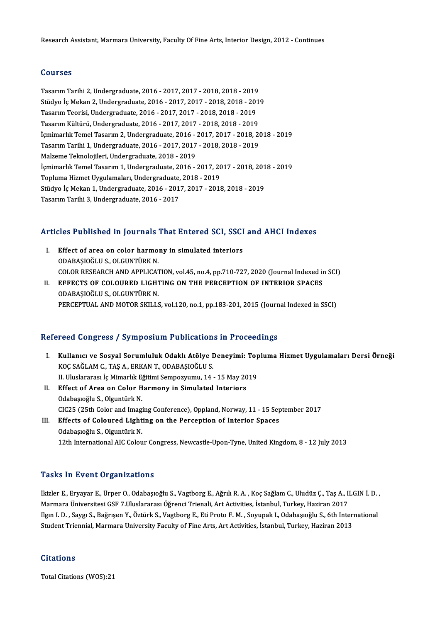### Courses

TasarımTarihi2,Undergraduate,2016 -2017,2017 -2018,2018 -2019 Stüdyo İçMekan2,Undergraduate,2016 -2017,2017 -2018,2018 -2019 Tasarım Tarihi 2, Undergraduate, 2016 - 2017, 2017 - 2018, 2018 - 2019<br>Stüdyo İç Mekan 2, Undergraduate, 2016 - 2017, 2017 - 2018, 2018 - 201<br>Tasarım Teorisi, Undergraduate, 2016 - 2017, 2017 - 2018, 2018 - 2019<br>Tasarım Kü Stüdyo İç Mekan 2, Undergraduate, 2016 - 2017, 2017 - 2018, 2018 - 201<br>Tasarım Teorisi, Undergraduate, 2016 - 2017, 2017 - 2018, 2018 - 2019<br>Tasarım Kültürü, Undergraduate, 2016 - 2017, 2017 - 2018, 2018 - 2019<br>İsmimarlık Tasarım Kültürü, Undergraduate, 2016 - 2017, 2017 - 2018, 2018 - 2019<br>İçmimarlık Temel Tasarım 2. Undergraduate, 2016 - 2017, 2017 - 2018, 2018 - 2019 Tasarım Kültürü, Undergraduate, 2016 - 2017, 2017 - 2018, 2018 - 2019<br>İçmimarlık Temel Tasarım 2, Undergraduate, 2016 - 2017, 2017 - 2018, 20<br>Tasarım Tarihi 1, Undergraduate, 2016 - 2017, 2017 - 2018, 2018 - 2019<br>Makama Ta İçmimarlık Temel Tasarım 2, Undergraduate, 2016 -<br>Tasarım Tarihi 1, Undergraduate, 2016 - 2017, 2017<br>Malzeme Teknolojileri, Undergraduate, 2018 - 2019<br>İsmimarlık Tamal Tasarım 1, Undergraduata, 2016 Tasarım Tarihi 1, Undergraduate, 2016 - 2017, 2017 - 2018, 2018 - 2019<br>Malzeme Teknolojileri, Undergraduate, 2018 - 2019<br>İçmimarlık Temel Tasarım 1, Undergraduate, 2016 - 2017, 2017 - 2018, 2018 - 2019<br>Tenluma Hirmat Uygul Malzeme Teknolojileri, Undergraduate, 2018 - 2019<br>İçmimarlık Temel Tasarım 1, Undergraduate, 2016 - 2017, 20<br>Topluma Hizmet Uygulamaları, Undergraduate, 2018 - 2019<br>Stüdye İs Meltan 1, Undergraduate, 2016 - 2017, 2017, 201 İçmimarlık Temel Tasarım 1, Undergraduate, 2016 - 2017, 2017 - 2018, 201<br>Topluma Hizmet Uygulamaları, Undergraduate, 2018 - 2019<br>Stüdyo İç Mekan 1, Undergraduate, 2016 - 2017, 2017 - 2018, 2018 - 2019<br>Tasarım Tarihi <sup>2,</sup> U Topluma Hizmet Uygulamaları, Undergraduate, 2018 - 2019<br>Stüdyo İç Mekan 1, Undergraduate, 2016 - 2017, 2017 - 2018, 2018 - 2019<br>Tasarım Tarihi 3, Undergraduate, 2016 - 2017

# 1asarim 1arini 3, ondergraduate, 2016 - 2017<br>Articles Published in Journals That Entered SCI, SSCI and AHCI Indexes

- rticles Published in Journals That Entered SCI, SSCI<br>I. Effect of area on color harmony in simulated interiors<br>ODARASIOCLUS OLGUNTUREN I. Effect of area on color harmony in simulated interiors<br>ODABASIOĞLU S., OLGUNTÜRK N. Effect of area on color harmony in simulated interiors<br>ODABAŞIOĞLU S., OLGUNTÜRK N.<br>COLOR RESEARCH AND APPLICATION, vol.45, no.4, pp.710-727, 2020 (Journal Indexed in SCI)<br>FEFECTS OF COLOUPED LICHTINC ON THE PERCERTION OF ODABAȘIOĞLU S., OLGUNTÜRK N.<br>COLOR RESEARCH AND APPLICATION, vol.45, no.4, pp.710-727, 2020 (Journal Indexed in<br>II. EFFECTS OF COLOURED LIGHTING ON THE PERCEPTION OF INTERIOR SPACES<br>ODARASIOČI U S. OLGUNTÜRK N
- COLOR RESEARCH AND APPLICAT<br>EFFECTS OF COLOURED LIGHT<br>ODABAŞIOĞLU S., OLGUNTÜRK N.<br>BERCEPTIJAL AND MOTOR SKU LS EFFECTS OF COLOURED LIGHTING ON THE PERCEPTION OF INTERIOR SPACES<br>ODABAŞIOĞLU S., OLGUNTÜRK N.<br>PERCEPTUAL AND MOTOR SKILLS, vol.120, no.1, pp.183-201, 2015 (Journal Indexed in SSCI) PERCEPTUAL AND MOTOR SKILLS, vol.120, no.1, pp.183-201, 2015 (Journal Indexed in SSCI)<br>Refereed Congress / Symposium Publications in Proceedings

- efereed Congress / Symposium Publications in Proceedings<br>I. Kullanıcı ve Sosyal Sorumluluk Odaklı Atölye Deneyimi: Topluma Hizmet Uygulamaları Dersi Örneği<br>KOC SAČLAM C. TAS A. ERKAN T. ODARASIOČLUS Kullanıcı ve Sosyal Sorumluluk Odaklı Atölye I<br>KOÇ SAĞLAM C., TAŞ A., ERKAN T., ODABAŞIOĞLU S.<br>II Hivelanarası İs Mimarlık Eğitimi Somnownumu. 14 Kullanıcı ve Sosyal Sorumluluk Odaklı Atölye Deneyimi: Top<br>KOÇ SAĞLAM C., TAŞ A., ERKAN T., ODABAŞIOĞLU S.<br>II. Uluslararası İç Mimarlık Eğitimi Sempozyumu, 14 - 15 May 2019<br>Effect of Area on Golor Harmony in Simulated Inte KOÇ SAĞLAM C., TAŞ A., ERKAN T., ODABAŞIOĞLU S.<br>II. Uluslararası İç Mimarlık Eğitimi Sempozyumu, 14 - 15 May 2019<br>II. Effect of Area on Color Harmony in Simulated Interiors
- Odabaşıoğlu S., Olguntürk N. CIC25 (25th Color and Imaging Conference), Oppland, Norway, 11 - 15 September 2017
- III. Effects of Coloured Lighting on the Perception of Interior Spaces Odabaşıoğlu S.,OlguntürkN. 12th International AIC Colour Congress, Newcastle-Upon-Tyne, United Kingdom, 8 - 12 July 2013

### **Tasks In Event Organizations**

**Tasks In Event Organizations**<br>İkizler E., Eryayar E., Ürper O., Odabaşıoğlu S., Vagtborg E., Ağrılı R. A. , Koç Sağlam C., Uludüz Ç., Taş A., ILGIN İ. D. ,<br>Marmare Üniversitesi CSE 7 Uluslararesı Öğrensi Triansli, Art Ast Masko Y.H. 2001 ve Sanyautovice<br>İkizler E., Eryayar E., Ürper O., Odabaşıoğlu S., Vagtborg E., Ağrılı R. A. , Koç Sağlam C., Uludüz Ç., Taş A., I<br>Marmara Üniversitesi GSF 7.Uluslararası Öğrenci Trienali, Art Activities, İs İkizler E., Eryayar E., Ürper O., Odabaşıoğlu S., Vagtborg E., Ağrılı R. A. , Koç Sağlam C., Uludüz Ç., Taş A., ILGIN İ. D.<br>Marmara Üniversitesi GSF 7.Uluslararası Öğrenci Trienali, Art Activities, İstanbul, Turkey, Hazira Marmara Üniversitesi GSF 7.Uluslararası Öğrenci Trienali, Art Activities, İstanbul, Turkey, Haziran 2017<br>Ilgın I. D. , Saygı S., Bağrışen Y., Öztürk S., Vagtborg E., Eti Proto F. M. , Soyupak I., Odabaşıoğlu S., 6th Inter<br> Student Triennial, Marmara University Faculty of Fine Arts, Art Activities, İstanbul, Turkey, Haziran 2013<br>Citations

Total Citations (WOS):21